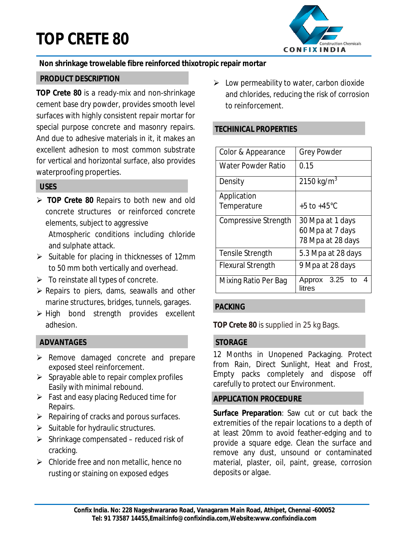# **TOP CRETE 80**



## **Non shrinkage trowelable fibre reinforced thixotropic repair mortar**

#### **PRODUCT DESCRIPTION**

**TOP Crete 80** is a ready-mix and non-shrinkage cement base dry powder, provides smooth level surfaces with highly consistent repair mortar for special purpose concrete and masonry repairs. And due to adhesive materials in it, it makes an excellent adhesion to most common substrate for vertical and horizontal surface, also provides waterproofing properties.

# **USES**

 **TOP Crete 80** Repairs to both new and old concrete structures or reinforced concrete elements, subject to aggressive

Atmospheric conditions including chloride and sulphate attack.

- $\triangleright$  Suitable for placing in thicknesses of 12mm to 50 mm both vertically and overhead.
- $\triangleright$  To reinstate all types of concrete.
- $\triangleright$  Repairs to piers, dams, seawalls and other marine structures, bridges, tunnels, garages.
- $\triangleright$  High bond strength provides excellent adhesion.

#### **ADVANTAGES**

- > Remove damaged concrete and prepare exposed steel reinforcement.
- $\triangleright$  Sprayable able to repair complex profiles Easily with minimal rebound.
- $\triangleright$  Fast and easy placing Reduced time for Repairs.
- $\triangleright$  Repairing of cracks and porous surfaces.
- $\triangleright$  Suitable for hydraulic structures.
- $\triangleright$  Shrinkage compensated reduced risk of cracking.
- $\triangleright$  Chloride free and non metallic, hence no rusting or staining on exposed edges

 $\triangleright$  Low permeability to water, carbon dioxide and chlorides, reducing the risk of corrosion to reinforcement.

## **TECHINICAL PROPERTIES**

| Color & Appearance          | <b>Grey Powder</b>               |
|-----------------------------|----------------------------------|
| <b>Water Powder Ratio</b>   | 0.15                             |
| Density                     | 2150 kg/m <sup>3</sup>           |
| Application                 |                                  |
| Temperature                 | +5 to +45°C                      |
| <b>Compressive Strength</b> | 30 Mpa at 1 days                 |
|                             | 60 Mpa at 7 days                 |
|                             | 78 Mpa at 28 days                |
| Tensile Strength            | 5.3 Mpa at 28 days               |
| <b>Flexural Strength</b>    | 9 Mpa at 28 days                 |
| Mixing Ratio Per Bag        | 3.25 to<br>Approx<br>4<br>litres |

#### **PACKING**

**TOP Crete 80** is supplied in 25 kg Bags.

#### **STORAGE**

12 Months in Unopened Packaging. Protect from Rain, Direct Sunlight, Heat and Frost, Empty packs completely and dispose off carefully to protect our Environment.

#### **APPLICATION PROCEDURE**

**Surface Preparation**: Saw cut or cut back the extremities of the repair locations to a depth of at least 20mm to avoid feather-edging and to provide a square edge. Clean the surface and remove any dust, unsound or contaminated material, plaster, oil, paint, grease, corrosion deposits or algae.